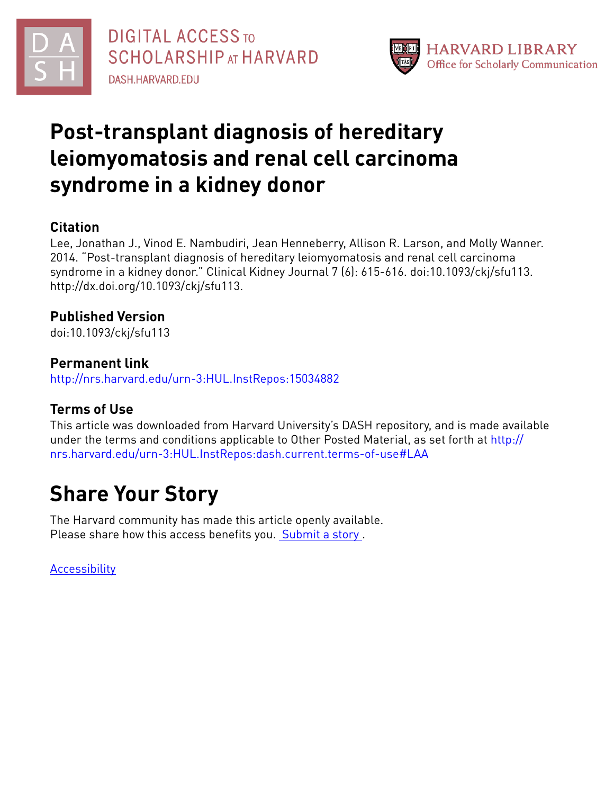



# **Post-transplant diagnosis of hereditary leiomyomatosis and renal cell carcinoma syndrome in a kidney donor**

### **Citation**

Lee, Jonathan J., Vinod E. Nambudiri, Jean Henneberry, Allison R. Larson, and Molly Wanner. 2014. "Post-transplant diagnosis of hereditary leiomyomatosis and renal cell carcinoma syndrome in a kidney donor." Clinical Kidney Journal 7 (6): 615-616. doi:10.1093/ckj/sfu113. http://dx.doi.org/10.1093/ckj/sfu113.

### **Published Version**

doi:10.1093/ckj/sfu113

#### **Permanent link**

<http://nrs.harvard.edu/urn-3:HUL.InstRepos:15034882>

### **Terms of Use**

This article was downloaded from Harvard University's DASH repository, and is made available under the terms and conditions applicable to Other Posted Material, as set forth at [http://](http://nrs.harvard.edu/urn-3:HUL.InstRepos:dash.current.terms-of-use#LAA) [nrs.harvard.edu/urn-3:HUL.InstRepos:dash.current.terms-of-use#LAA](http://nrs.harvard.edu/urn-3:HUL.InstRepos:dash.current.terms-of-use#LAA)

# **Share Your Story**

The Harvard community has made this article openly available. Please share how this access benefits you. [Submit](http://osc.hul.harvard.edu/dash/open-access-feedback?handle=&title=Post-transplant%20diagnosis%20of%20hereditary%20leiomyomatosis%20and%20renal%20cell%20carcinoma%20syndrome%20in%20a%20kidney%20donor&community=1/4454685&collection=1/4454686&owningCollection1/4454686&harvardAuthors=0ddb1af6ec972b02503b04abd72c9a75&department) a story.

[Accessibility](https://dash.harvard.edu/pages/accessibility)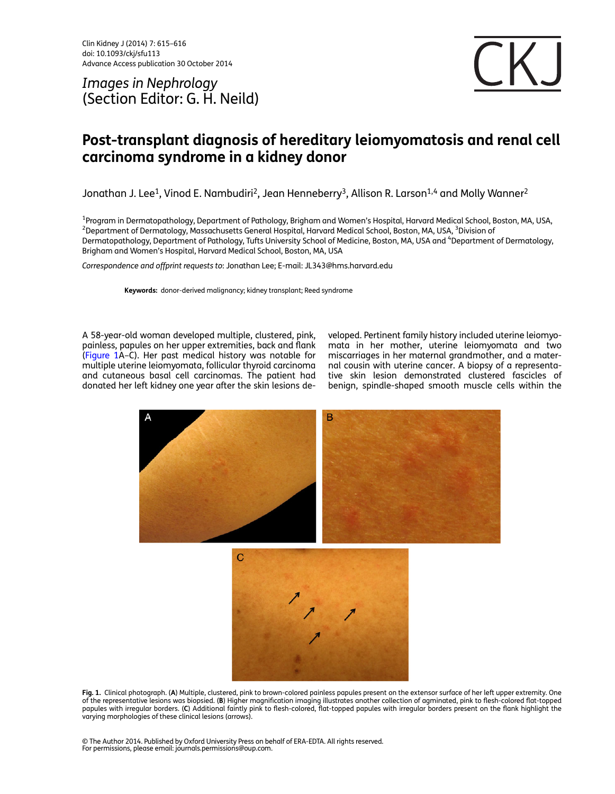Clin Kidney J (2014) 7: 615–616 doi: 10.1093/ckj/sfu113 Advance Access publication 30 October 2014

Images in Nephrology (Section Editor: G. H. Neild)



### Post-transplant diagnosis of hereditary leiomyomatosis and renal cell carcinoma syndrome in a kidney donor

Jonathan J. Lee<sup>1</sup>, Vinod E. Nambudiri<sup>2</sup>, Jean Henneberry<sup>3</sup>, Allison R. Larson<sup>1,4</sup> and Molly Wanner<sup>2</sup>

<sup>1</sup>Program in Dermatopathology, Department of Pathology, Brigham and Women's Hospital, Harvard Medical School, Boston, MA, USA,<br><sup>2</sup>Department of Dermatology, Massachusetts General Hospital, Harvard Medical School, Boston, Department of Dermatology, Massachusetts General Hospital, Harvard Medical School, Boston, MA, USA, <sup>3</sup>Division of Dermatopathology, Department of Pathology, Tufts University School of Medicine, Boston, MA, USA and <sup>4</sup>Department of Dermatology, Brigham and Women's Hospital, Harvard Medical School, Boston, MA, USA

Correspondence and offprint requests to: Jonathan Lee; E-mail: JL343@hms.harvard.edu

Keywords: donor-derived malignancy; kidney transplant; Reed syndrome

A 58-year-old woman developed multiple, clustered, pink, painless, papules on her upper extremities, back and flank (Figure 1A–C). Her past medical history was notable for multiple uterine leiomyomata, follicular thyroid carcinoma and cutaneous basal cell carcinomas. The patient had donated her left kidney one year after the skin lesions developed. Pertinent family history included uterine leiomyomata in her mother, uterine leiomyomata and two miscarriages in her maternal grandmother, and a maternal cousin with uterine cancer. A biopsy of a representative skin lesion demonstrated clustered fascicles of benign, spindle-shaped smooth muscle cells within the



Fig. 1. Clinical photograph. (A) Multiple, clustered, pink to brown-colored painless papules present on the extensor surface of her left upper extremity. One of the representative lesions was biopsied. (B) Higher magnification imaging illustrates another collection of agminated, pink to flesh-colored flat-topped papules with irregular borders. (C) Additional faintly pink to flesh-colored, flat-topped papules with irregular borders present on the flank highlight the varying morphologies of these clinical lesions (arrows).

© The Author 2014. Published by Oxford University Press on behalf of ERA-EDTA. All rights reserved. For permissions, please email: journals.permissions@oup.com.